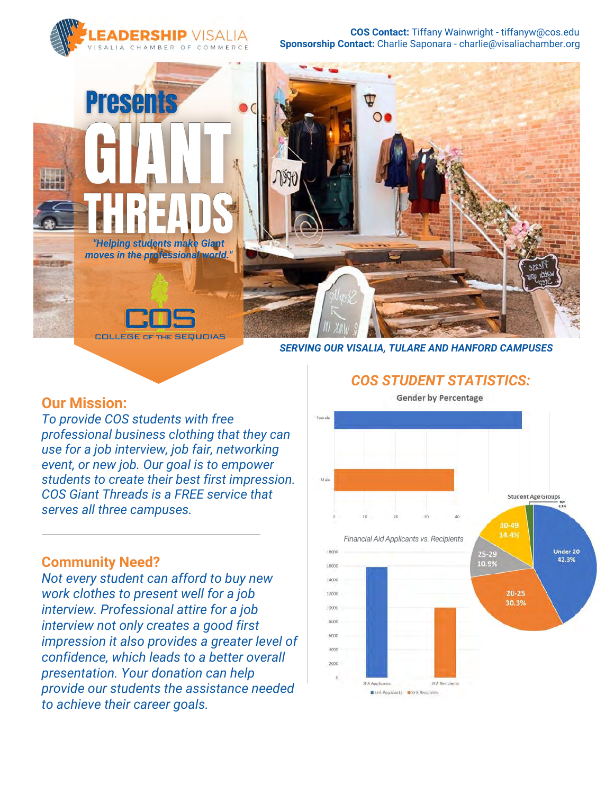

**Sponsorship Contact:** Charlie Saponara - charlie@visaliachamber.org **COS Contact:** Tiffany Wainwright - tiffanyw@cos.edu



*SERVING OUR VISALIA, TULARE AND HANFORD CAMPUSES*

#### **Our Mission:**

*To provide COS students with free professional business clothing that they can use for a job interview, job fair, networking event, or new job. Our goal is to empower students to create their best first impression. COS Giant Threads is a FREE service that serves all three campuses.*

#### **Community Need?**

*Not every student can afford to buy new work clothes to present well for a job interview. Professional attire for a job interview not only creates a good first impression it also provides a greater level of confidence, which leads to a better overall presentation. Your donation can help provide our students the assistance needed to achieve their career goals.*

Eon Male **Student Age Groups** 30-49 14.4% *Financial Aid Applicants vs. Recipients* 18000  $25 - 29$ Under 20 42.3% 10.9% 16000 14000  $20 - 25$ 12000 30.3% 10000 arion acion 2000 SFA Applicants SFA Recipi SFA Applicants SFA Recipients

#### *COS STUDENT STATISTICS:* **Gender by Percentage**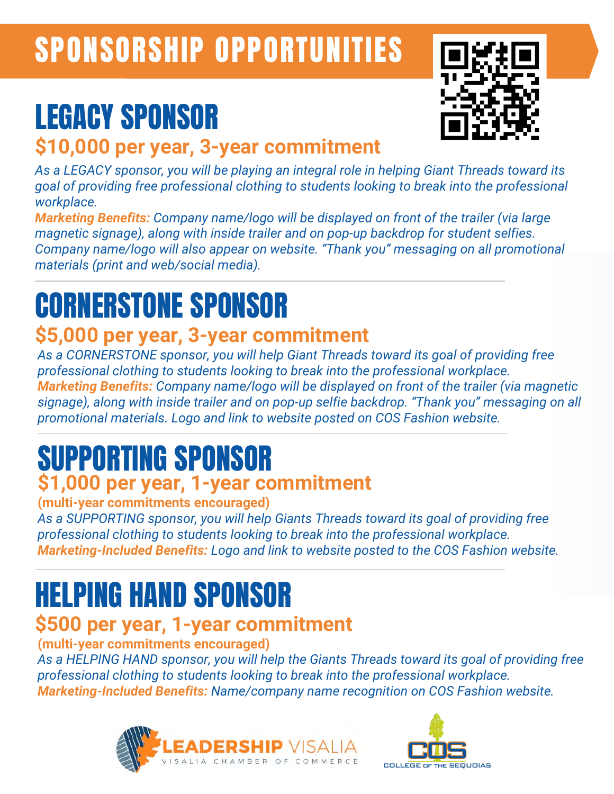# SPONSORSHIP OPPORTUNITIES

# LEGACY SPONSOR

### **\$10,000 per year, 3-year commitment**

*As a LEGACY sponsor, you will be playing an integral role in helping Giant Threads toward its goal of providing free professional clothing to students looking to break into the professional workplace.*

*Marketing Benefits: Company name/logo will be displayed on front of the trailer (via large magnetic signage), along with inside trailer and on pop-up backdrop for student selfies. Company name/logo will also appear on website. "Thank you" messaging on all promotional materials (print and web/social media).*

# CORNERSTONE SPONSOR

## **\$5,000 per year, 3-year commitment**

*As a CORNERSTONE sponsor, you will help Giant Threads toward its goal of providing free professional clothing to students looking to break into the professional workplace. Marketing Benefits: Company name/logo will be displayed on front of the trailer (via magnetic signage), along with inside trailer and on pop-up selfie backdrop. "Thank you" messaging on all promotional materials. Logo and link to website posted on COS Fashion website.*

## SUPPORTING SPONSOR **\$1,000 per year, 1-year commitment**

#### **(multi-year commitments encouraged)**

*As a SUPPORTING sponsor, you will help Giants Threads toward its goal of providing free professional clothing to students looking to break into the professional workplace. Marketing-Included Benefits: Logo and link to website posted to the COS Fashion website.*

## HELPING HAND SPONSOR

## **\$500 per year, 1-year commitment**

**(multi-year commitments encouraged)**

*As a HELPING HAND sponsor, you will help the Giants Threads toward its goal of providing free professional clothing to students looking to break into the professional workplace. Marketing-Included Benefits: Name/company name recognition on COS Fashion website.*